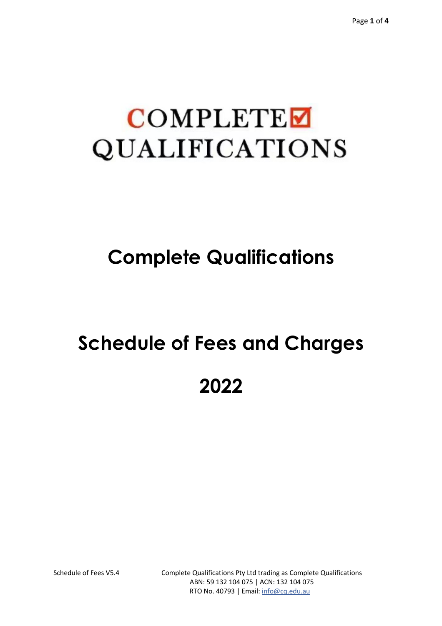## **COMPLETE** QUALIFICATIONS

### **Complete Qualifications**

# **Schedule of Fees and Charges 2022**

Schedule of Fees V5.4 Complete Qualifications Pty Ltd trading as Complete Qualifications ABN: 59 132 104 075 | ACN: 132 104 075 RTO No. 40793 | Email: info@cq.edu.au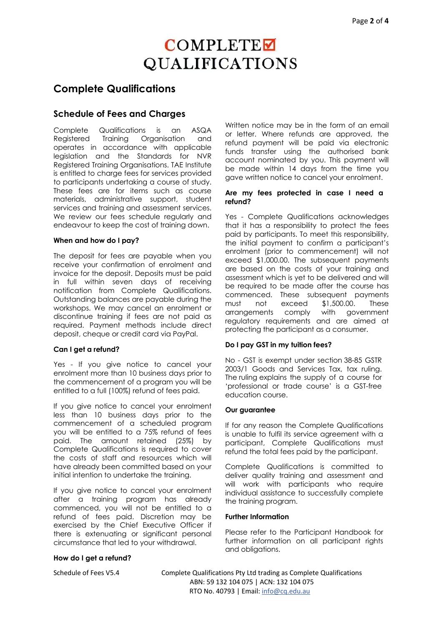### **COMPLETE QUALIFICATIONS**

#### **Complete Qualifications**

#### **Schedule of Fees and Charges**

Complete Qualifications is an ASQA Registered Training Organisation and operates in accordance with applicable legislation and the Standards for NVR Registered Training Organisations. TAE Institute is entitled to charge fees for services provided to participants undertaking a course of study. These fees are for items such as course materials, administrative support, student services and training and assessment services. We review our fees schedule regularly and endeavour to keep the cost of training down.

#### **When and how do I pay?**

The deposit for fees are payable when you receive your confirmation of enrolment and invoice for the deposit. Deposits must be paid in full within seven days of receiving notification from Complete Qualifications. Outstanding balances are payable during the workshops. We may cancel an enrolment or discontinue training if fees are not paid as required. Payment methods include direct deposit, cheque or credit card via PayPal.

#### **Can I get a refund?**

Yes - If you give notice to cancel your enrolment more than 10 business days prior to the commencement of a program you will be entitled to a full (100%) refund of fees paid.

If you give notice to cancel your enrolment less than 10 business days prior to the commencement of a scheduled program you will be entitled to a 75% refund of fees paid. The amount retained (25%) by Complete Qualifications is required to cover the costs of staff and resources which will have already been committed based on your initial intention to undertake the training.

If you give notice to cancel your enrolment after a training program has already commenced, you will not be entitled to a refund of fees paid. Discretion may be exercised by the Chief Executive Officer if there is extenuating or significant personal circumstance that led to your withdrawal.

#### **How do I get a refund?**

Written notice may be in the form of an email or letter. Where refunds are approved, the refund payment will be paid via electronic funds transfer using the authorised bank account nominated by you. This payment will be made within 14 days from the time you gave written notice to cancel your enrolment.

#### **Are my fees protected in case I need a refund?**

Yes - Complete Qualifications acknowledges that it has a responsibility to protect the fees paid by participants. To meet this responsibility, the initial payment to confirm a participant's enrolment (prior to commencement) will not exceed \$1,000.00. The subsequent payments are based on the costs of your training and assessment which is yet to be delivered and will be required to be made after the course has commenced. These subsequent payments must not exceed \$1,500.00. These arrangements comply with government regulatory requirements and are aimed at protecting the participant as a consumer.

#### **Do I pay GST in my tuition fees?**

No - GST is exempt under section 38-85 GSTR 2003/1 Goods and Services Tax, tax ruling. The ruling explains the supply of a course for 'professional or trade course' is a GST-free education course.

#### **Our guarantee**

If for any reason the Complete Qualifications is unable to fulfil its service agreement with a participant, Complete Qualifications must refund the total fees paid by the participant.

Complete Qualifications is committed to deliver quality training and assessment and will work with participants who require individual assistance to successfully complete the training program.

#### **Further Information**

Please refer to the Participant Handbook for further information on all participant rights and obligations.

Schedule of Fees V5.4 Complete Qualifications Pty Ltd trading as Complete Qualifications ABN: 59 132 104 075 | ACN: 132 104 075 RTO No. 40793 | Email: info@cq.edu.au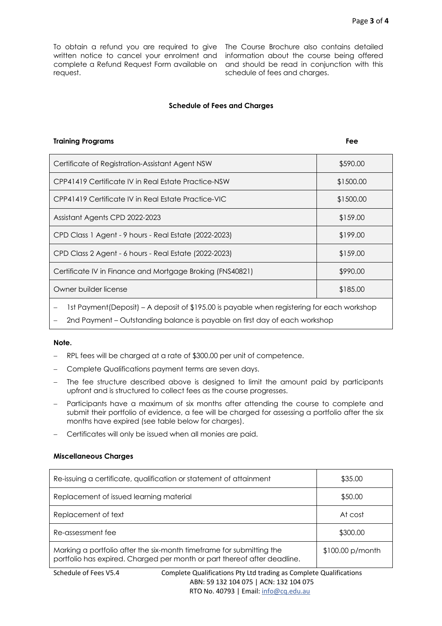To obtain a refund you are required to give The Course Brochure also contains detailed written notice to cancel your enrolment and complete a Refund Request Form available on and should be read in conjunction with this request.

information about the course being offered schedule of fees and charges.

#### **Schedule of Fees and Charges**

#### **Training Programs Fee**

| Certificate of Registration-Assistant Agent NSW           | \$590.00  |
|-----------------------------------------------------------|-----------|
| CPP41419 Certificate IV in Real Estate Practice-NSW       | \$1500.00 |
| CPP41419 Certificate IV in Real Estate Practice-VIC       | \$1500.00 |
| Assistant Agents CPD 2022-2023                            | \$159.00  |
| CPD Class 1 Agent - 9 hours - Real Estate (2022-2023)     | \$199.00  |
| CPD Class 2 Agent - 6 hours - Real Estate (2022-2023)     | \$159.00  |
| Certificate IV in Finance and Mortgage Broking (FNS40821) | \$990.00  |
| Owner builder license                                     | \$185.00  |
|                                                           |           |

1st Payment(Deposit) – A deposit of \$195.00 is payable when registering for each workshop

2nd Payment – Outstanding balance is payable on first day of each workshop

#### **Note.**

- RPL fees will be charged at a rate of \$300.00 per unit of competence.
- Complete Qualifications payment terms are seven days.
- The fee structure described above is designed to limit the amount paid by participants upfront and is structured to collect fees as the course progresses.
- Participants have a maximum of six months after attending the course to complete and submit their portfolio of evidence, a fee will be charged for assessing a portfolio after the six months have expired (see table below for charges).
- Certificates will only be issued when all monies are paid.

#### **Miscellaneous Charges**

| Re-issuing a certificate, qualification or statement of attainment                                                                               | \$35.00            |
|--------------------------------------------------------------------------------------------------------------------------------------------------|--------------------|
| Replacement of issued learning material                                                                                                          | \$50.00            |
| Replacement of text                                                                                                                              | At cost            |
| Re-assessment fee                                                                                                                                | \$300.00           |
| Marking a portfolio after the six-month timeframe for submitting the<br>portfolio has expired. Charged per month or part thereof after deadline. | $$100.00 p/m$ onth |